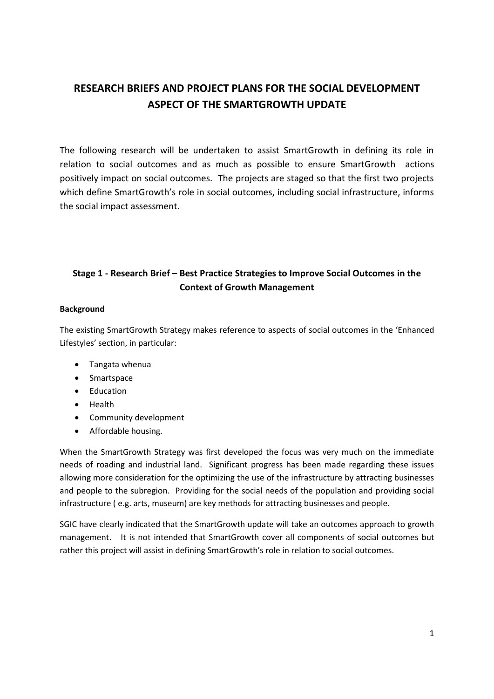# **RESEARCH BRIEFS AND PROJECT PLANS FOR THE SOCIAL DEVELOPMENT ASPECT OF THE SMARTGROWTH UPDATE**

The following research will be undertaken to assist SmartGrowth in defining its role in relation to social outcomes and as much as possible to ensure SmartGrowth actions positively impact on social outcomes. The projects are staged so that the first two projects which define SmartGrowth's role in social outcomes, including social infrastructure, informs the social impact assessment.

## **Stage 1 - Research Brief – Best Practice Strategies to Improve Social Outcomes in the Context of Growth Management**

#### **Background**

The existing SmartGrowth Strategy makes reference to aspects of social outcomes in the 'Enhanced Lifestyles' section, in particular:

- Tangata whenua
- Smartspace
- Education
- Health
- Community development
- Affordable housing.

When the SmartGrowth Strategy was first developed the focus was very much on the immediate needs of roading and industrial land. Significant progress has been made regarding these issues allowing more consideration for the optimizing the use of the infrastructure by attracting businesses and people to the subregion. Providing for the social needs of the population and providing social infrastructure ( e.g. arts, museum) are key methods for attracting businesses and people.

SGIC have clearly indicated that the SmartGrowth update will take an outcomes approach to growth management. It is not intended that SmartGrowth cover all components of social outcomes but rather this project will assist in defining SmartGrowth's role in relation to social outcomes.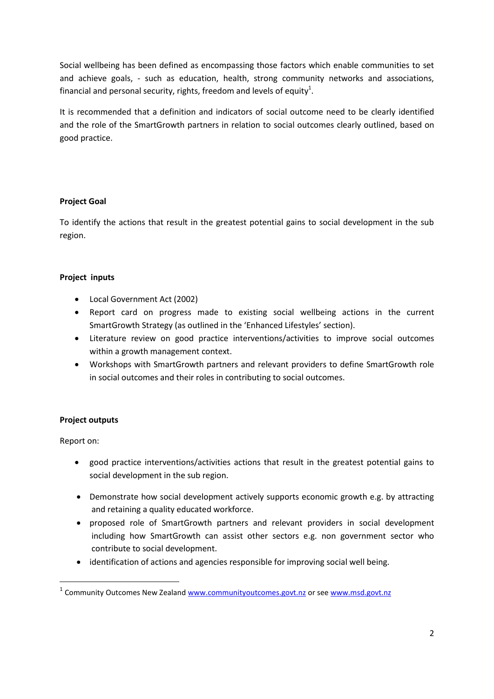Social wellbeing has been defined as encompassing those factors which enable communities to set and achieve goals, - such as education, health, strong community networks and associations, financial and personal security, rights, freedom and levels of equity<sup>1</sup>.

It is recommended that a definition and indicators of social outcome need to be clearly identified and the role of the SmartGrowth partners in relation to social outcomes clearly outlined, based on good practice.

## **Project Goal**

To identify the actions that result in the greatest potential gains to social development in the sub region.

## **Project inputs**

- Local Government Act (2002)
- Report card on progress made to existing social wellbeing actions in the current SmartGrowth Strategy (as outlined in the 'Enhanced Lifestyles' section).
- Literature review on good practice interventions/activities to improve social outcomes within a growth management context.
- Workshops with SmartGrowth partners and relevant providers to define SmartGrowth role in social outcomes and their roles in contributing to social outcomes.

## **Project outputs**

Report on:

**.** 

- good practice interventions/activities actions that result in the greatest potential gains to social development in the sub region.
- Demonstrate how social development actively supports economic growth e.g. by attracting and retaining a quality educated workforce.
- proposed role of SmartGrowth partners and relevant providers in social development including how SmartGrowth can assist other sectors e.g. non government sector who contribute to social development.
- identification of actions and agencies responsible for improving social well being.

<sup>&</sup>lt;sup>1</sup> Community Outcomes New Zealand **www.communityoutcomes.govt.nz** or se[e www.msd.govt.nz](http://www.msd.govt.nz/)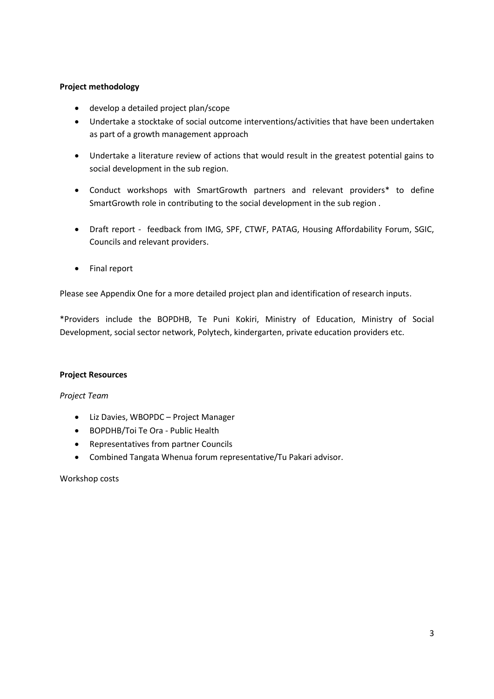## **Project methodology**

- develop a detailed project plan/scope
- Undertake a stocktake of social outcome interventions/activities that have been undertaken as part of a growth management approach
- Undertake a literature review of actions that would result in the greatest potential gains to social development in the sub region.
- Conduct workshops with SmartGrowth partners and relevant providers\* to define SmartGrowth role in contributing to the social development in the sub region .
- Draft report feedback from IMG, SPF, CTWF, PATAG, Housing Affordability Forum, SGIC, Councils and relevant providers.
- Final report

Please see Appendix One for a more detailed project plan and identification of research inputs.

\*Providers include the BOPDHB, Te Puni Kokiri, Ministry of Education, Ministry of Social Development, social sector network, Polytech, kindergarten, private education providers etc.

## **Project Resources**

*Project Team*

- Liz Davies, WBOPDC Project Manager
- BOPDHB/Toi Te Ora Public Health
- Representatives from partner Councils
- Combined Tangata Whenua forum representative/Tu Pakari advisor.

Workshop costs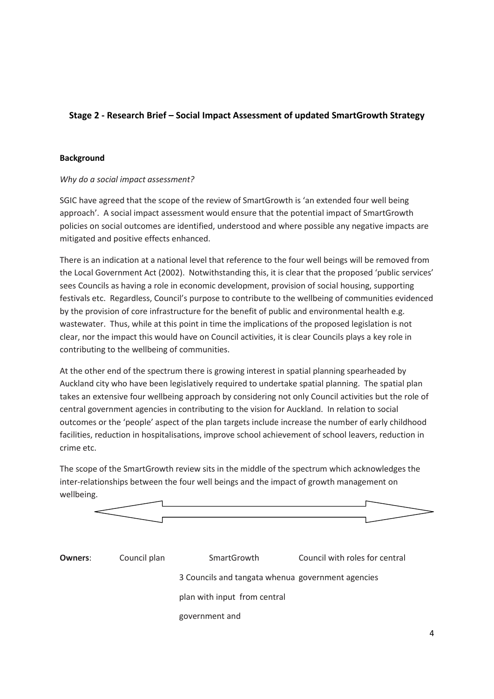## **Stage 2 - Research Brief – Social Impact Assessment of updated SmartGrowth Strategy**

#### **Background**

#### *Why do a social impact assessment?*

SGIC have agreed that the scope of the review of SmartGrowth is 'an extended four well being approach'. A social impact assessment would ensure that the potential impact of SmartGrowth policies on social outcomes are identified, understood and where possible any negative impacts are mitigated and positive effects enhanced.

There is an indication at a national level that reference to the four well beings will be removed from the Local Government Act (2002). Notwithstanding this, it is clear that the proposed 'public services' sees Councils as having a role in economic development, provision of social housing, supporting festivals etc. Regardless, Council's purpose to contribute to the wellbeing of communities evidenced by the provision of core infrastructure for the benefit of public and environmental health e.g. wastewater. Thus, while at this point in time the implications of the proposed legislation is not clear, nor the impact this would have on Council activities, it is clear Councils plays a key role in contributing to the wellbeing of communities.

At the other end of the spectrum there is growing interest in spatial planning spearheaded by Auckland city who have been legislatively required to undertake spatial planning. The spatial plan takes an extensive four wellbeing approach by considering not only Council activities but the role of central government agencies in contributing to the vision for Auckland. In relation to social outcomes or the 'people' aspect of the plan targets include increase the number of early childhood facilities, reduction in hospitalisations, improve school achievement of school leavers, reduction in crime etc.

The scope of the SmartGrowth review sits in the middle of the spectrum which acknowledges the inter-relationships between the four well beings and the impact of growth management on wellbeing.



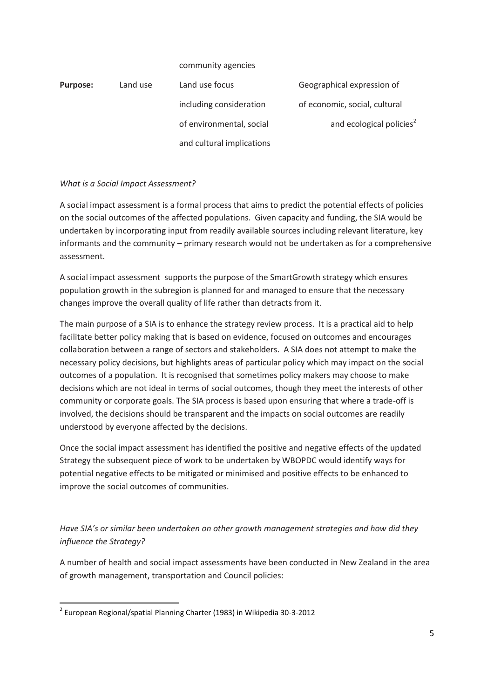|                 |          | community agencies        |                                      |
|-----------------|----------|---------------------------|--------------------------------------|
| <b>Purpose:</b> | Land use | Land use focus            | Geographical expression of           |
|                 |          | including consideration   | of economic, social, cultural        |
|                 |          | of environmental, social  | and ecological policies <sup>2</sup> |
|                 |          | and cultural implications |                                      |

## *What is a Social Impact Assessment?*

A social impact assessment is a formal process that aims to predict the potential effects of policies on the social outcomes of the affected populations. Given capacity and funding, the SIA would be undertaken by incorporating input from readily available sources including relevant literature, key informants and the community – primary research would not be undertaken as for a comprehensive assessment.

A social impact assessment supports the purpose of the SmartGrowth strategy which ensures population growth in the subregion is planned for and managed to ensure that the necessary changes improve the overall quality of life rather than detracts from it.

The main purpose of a SIA is to enhance the strategy review process. It is a practical aid to help facilitate better policy making that is based on evidence, focused on outcomes and encourages collaboration between a range of sectors and stakeholders. A SIA does not attempt to make the necessary policy decisions, but highlights areas of particular policy which may impact on the social outcomes of a population. It is recognised that sometimes policy makers may choose to make decisions which are not ideal in terms of social outcomes, though they meet the interests of other community or corporate goals. The SIA process is based upon ensuring that where a trade-off is involved, the decisions should be transparent and the impacts on social outcomes are readily understood by everyone affected by the decisions.

Once the social impact assessment has identified the positive and negative effects of the updated Strategy the subsequent piece of work to be undertaken by WBOPDC would identify ways for potential negative effects to be mitigated or minimised and positive effects to be enhanced to improve the social outcomes of communities.

*Have SIA's or similar been undertaken on other growth management strategies and how did they influence the Strategy?*

A number of health and social impact assessments have been conducted in New Zealand in the area of growth management, transportation and Council policies:

1

<sup>2</sup> European Regional/spatial Planning Charter (1983) in Wikipedia 30-3-2012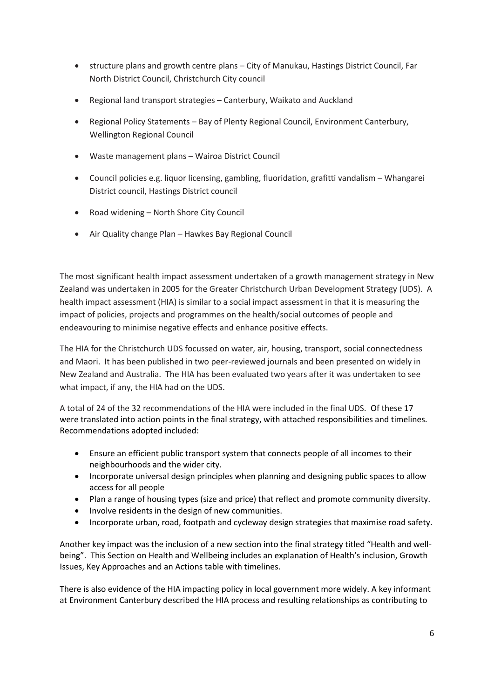- structure plans and growth centre plans City of Manukau, Hastings District Council, Far North District Council, Christchurch City council
- Regional land transport strategies Canterbury, Waikato and Auckland
- Regional Policy Statements Bay of Plenty Regional Council, Environment Canterbury, Wellington Regional Council
- Waste management plans Wairoa District Council
- Council policies e.g. liquor licensing, gambling, fluoridation, grafitti vandalism Whangarei District council, Hastings District council
- Road widening North Shore City Council
- Air Quality change Plan Hawkes Bay Regional Council

The most significant health impact assessment undertaken of a growth management strategy in New Zealand was undertaken in 2005 for the Greater Christchurch Urban Development Strategy (UDS). A health impact assessment (HIA) is similar to a social impact assessment in that it is measuring the impact of policies, projects and programmes on the health/social outcomes of people and endeavouring to minimise negative effects and enhance positive effects.

The HIA for the Christchurch UDS focussed on water, air, housing, transport, social connectedness and Maori. It has been published in two peer-reviewed journals and been presented on widely in New Zealand and Australia. The HIA has been evaluated two years after it was undertaken to see what impact, if any, the HIA had on the UDS.

A total of 24 of the 32 recommendations of the HIA were included in the final UDS. Of these 17 were translated into action points in the final strategy, with attached responsibilities and timelines. Recommendations adopted included:

- Ensure an efficient public transport system that connects people of all incomes to their neighbourhoods and the wider city.
- Incorporate universal design principles when planning and designing public spaces to allow access for all people
- Plan a range of housing types (size and price) that reflect and promote community diversity.
- Involve residents in the design of new communities.
- Incorporate urban, road, footpath and cycleway design strategies that maximise road safety.

Another key impact was the inclusion of a new section into the final strategy titled "Health and wellbeing". This Section on Health and Wellbeing includes an explanation of Health's inclusion, Growth Issues, Key Approaches and an Actions table with timelines.

There is also evidence of the HIA impacting policy in local government more widely. A key informant at Environment Canterbury described the HIA process and resulting relationships as contributing to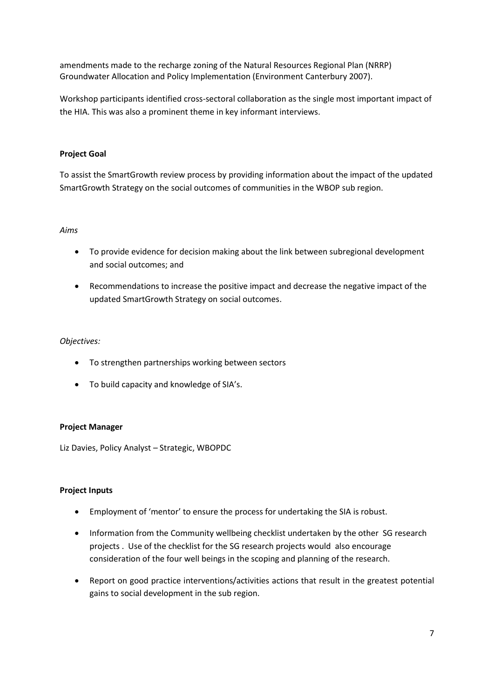amendments made to the recharge zoning of the Natural Resources Regional Plan (NRRP) Groundwater Allocation and Policy Implementation (Environment Canterbury 2007).

Workshop participants identified cross-sectoral collaboration as the single most important impact of the HIA. This was also a prominent theme in key informant interviews.

### **Project Goal**

To assist the SmartGrowth review process by providing information about the impact of the updated SmartGrowth Strategy on the social outcomes of communities in the WBOP sub region.

#### *Aims*

- To provide evidence for decision making about the link between subregional development and social outcomes; and
- Recommendations to increase the positive impact and decrease the negative impact of the updated SmartGrowth Strategy on social outcomes.

#### *Objectives:*

- To strengthen partnerships working between sectors
- To build capacity and knowledge of SIA's.

#### **Project Manager**

Liz Davies, Policy Analyst – Strategic, WBOPDC

#### **Project Inputs**

- Employment of 'mentor' to ensure the process for undertaking the SIA is robust.
- Information from the Community wellbeing checklist undertaken by the other SG research projects . Use of the checklist for the SG research projects would also encourage consideration of the four well beings in the scoping and planning of the research.
- Report on good practice interventions/activities actions that result in the greatest potential gains to social development in the sub region.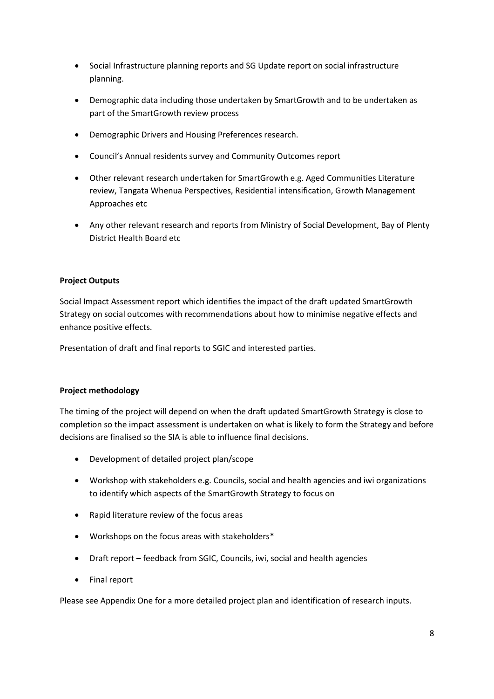- Social Infrastructure planning reports and SG Update report on social infrastructure planning.
- Demographic data including those undertaken by SmartGrowth and to be undertaken as part of the SmartGrowth review process
- Demographic Drivers and Housing Preferences research.
- Council's Annual residents survey and Community Outcomes report
- Other relevant research undertaken for SmartGrowth e.g. Aged Communities Literature review, Tangata Whenua Perspectives, Residential intensification, Growth Management Approaches etc
- Any other relevant research and reports from Ministry of Social Development, Bay of Plenty District Health Board etc

#### **Project Outputs**

Social Impact Assessment report which identifies the impact of the draft updated SmartGrowth Strategy on social outcomes with recommendations about how to minimise negative effects and enhance positive effects.

Presentation of draft and final reports to SGIC and interested parties.

#### **Project methodology**

The timing of the project will depend on when the draft updated SmartGrowth Strategy is close to completion so the impact assessment is undertaken on what is likely to form the Strategy and before decisions are finalised so the SIA is able to influence final decisions.

- Development of detailed project plan/scope
- Workshop with stakeholders e.g. Councils, social and health agencies and iwi organizations to identify which aspects of the SmartGrowth Strategy to focus on
- Rapid literature review of the focus areas
- Workshops on the focus areas with stakeholders\*
- Draft report feedback from SGIC, Councils, iwi, social and health agencies
- Final report

Please see Appendix One for a more detailed project plan and identification of research inputs.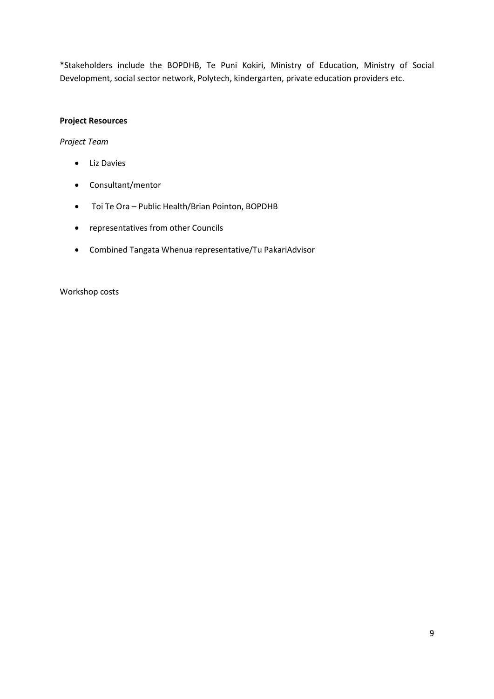\*Stakeholders include the BOPDHB, Te Puni Kokiri, Ministry of Education, Ministry of Social Development, social sector network, Polytech, kindergarten, private education providers etc.

## **Project Resources**

*Project Team*

- Liz Davies
- Consultant/mentor
- Toi Te Ora Public Health/Brian Pointon, BOPDHB
- representatives from other Councils
- Combined Tangata Whenua representative/Tu PakariAdvisor

Workshop costs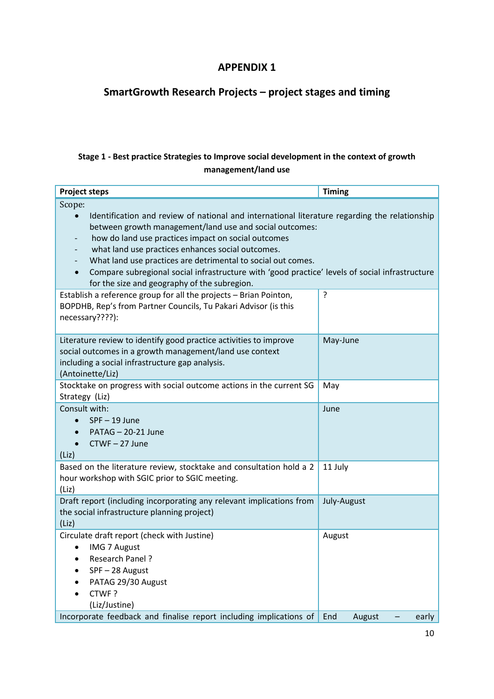## **APPENDIX 1**

# **SmartGrowth Research Projects – project stages and timing**

## **Stage 1 - Best practice Strategies to Improve social development in the context of growth management/land use**

| <b>Project steps</b>                                                                                                                                                                                                                                                                                                                                                                                                                                                                                                                                                        | <b>Timing</b>          |  |  |  |
|-----------------------------------------------------------------------------------------------------------------------------------------------------------------------------------------------------------------------------------------------------------------------------------------------------------------------------------------------------------------------------------------------------------------------------------------------------------------------------------------------------------------------------------------------------------------------------|------------------------|--|--|--|
| Scope:<br>Identification and review of national and international literature regarding the relationship<br>between growth management/land use and social outcomes:<br>how do land use practices impact on social outcomes<br>what land use practices enhances social outcomes.<br>What land use practices are detrimental to social out comes.<br>Compare subregional social infrastructure with 'good practice' levels of social infrastructure<br>for the size and geography of the subregion.<br>ŗ.<br>Establish a reference group for all the projects - Brian Pointon, |                        |  |  |  |
| BOPDHB, Rep's from Partner Councils, Tu Pakari Advisor (is this<br>necessary????):                                                                                                                                                                                                                                                                                                                                                                                                                                                                                          |                        |  |  |  |
| Literature review to identify good practice activities to improve<br>social outcomes in a growth management/land use context<br>including a social infrastructure gap analysis.<br>(Antoinette/Liz)                                                                                                                                                                                                                                                                                                                                                                         | May-June               |  |  |  |
| Stocktake on progress with social outcome actions in the current SG<br>Strategy (Liz)                                                                                                                                                                                                                                                                                                                                                                                                                                                                                       | May                    |  |  |  |
| Consult with:<br>$SPF - 19$ June<br>$\bullet$<br>PATAG - 20-21 June<br>CTWF-27 June<br>(Liz)                                                                                                                                                                                                                                                                                                                                                                                                                                                                                | June                   |  |  |  |
| Based on the literature review, stocktake and consultation hold a 2<br>hour workshop with SGIC prior to SGIC meeting.<br>(Liz)                                                                                                                                                                                                                                                                                                                                                                                                                                              | 11 July                |  |  |  |
| Draft report (including incorporating any relevant implications from<br>the social infrastructure planning project)<br>(Liz)                                                                                                                                                                                                                                                                                                                                                                                                                                                | July-August            |  |  |  |
| Circulate draft report (check with Justine)<br><b>IMG 7 August</b><br>Research Panel?<br>SPF-28 August<br>PATAG 29/30 August<br>CTWF?<br>(Liz/Justine)                                                                                                                                                                                                                                                                                                                                                                                                                      | August                 |  |  |  |
| Incorporate feedback and finalise report including implications of                                                                                                                                                                                                                                                                                                                                                                                                                                                                                                          | August<br>End<br>early |  |  |  |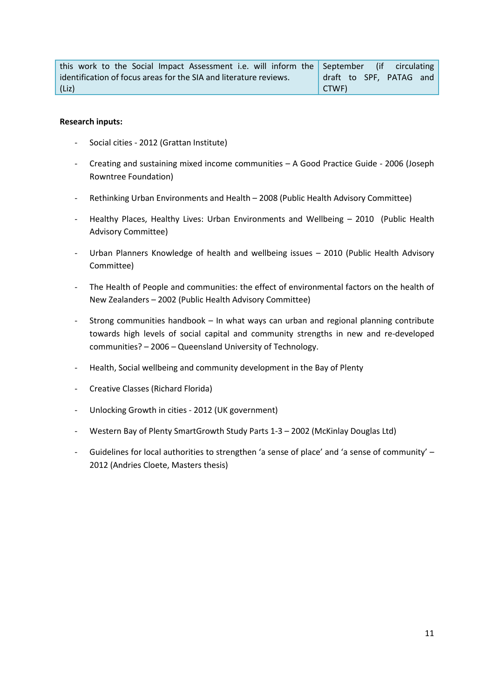| this work to the Social Impact Assessment i.e. will inform the September (if circulating |                         |
|------------------------------------------------------------------------------------------|-------------------------|
| identification of focus areas for the SIA and literature reviews.                        | draft to SPF, PATAG and |
| (Liz)                                                                                    | CTWF)                   |

#### **Research inputs:**

- Social cities 2012 (Grattan Institute)
- Creating and sustaining mixed income communities A Good Practice Guide 2006 (Joseph Rowntree Foundation)
- Rethinking Urban Environments and Health 2008 (Public Health Advisory Committee)
- Healthy Places, Healthy Lives: Urban Environments and Wellbeing 2010 (Public Health Advisory Committee)
- Urban Planners Knowledge of health and wellbeing issues 2010 (Public Health Advisory Committee)
- The Health of People and communities: the effect of environmental factors on the health of New Zealanders – 2002 (Public Health Advisory Committee)
- Strong communities handbook In what ways can urban and regional planning contribute towards high levels of social capital and community strengths in new and re-developed communities? – 2006 – Queensland University of Technology.
- Health, Social wellbeing and community development in the Bay of Plenty
- Creative Classes (Richard Florida)
- Unlocking Growth in cities 2012 (UK government)
- Western Bay of Plenty SmartGrowth Study Parts 1-3 2002 (McKinlay Douglas Ltd)
- Guidelines for local authorities to strengthen 'a sense of place' and 'a sense of community' 2012 (Andries Cloete, Masters thesis)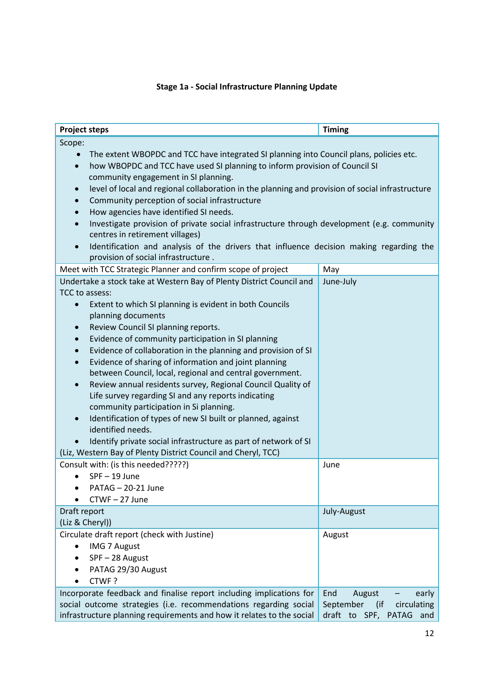## **Stage 1a - Social Infrastructure Planning Update**

| <b>Project steps</b>                                                                                                                                                                                                                                                                                                                                                                                                                                                                                                                                                                                                                                                                                                                                                                                                                                                   | <b>Timing</b>                                              |  |  |  |
|------------------------------------------------------------------------------------------------------------------------------------------------------------------------------------------------------------------------------------------------------------------------------------------------------------------------------------------------------------------------------------------------------------------------------------------------------------------------------------------------------------------------------------------------------------------------------------------------------------------------------------------------------------------------------------------------------------------------------------------------------------------------------------------------------------------------------------------------------------------------|------------------------------------------------------------|--|--|--|
| Scope:                                                                                                                                                                                                                                                                                                                                                                                                                                                                                                                                                                                                                                                                                                                                                                                                                                                                 |                                                            |  |  |  |
| The extent WBOPDC and TCC have integrated SI planning into Council plans, policies etc.<br>how WBOPDC and TCC have used SI planning to inform provision of Council SI<br>$\bullet$<br>community engagement in SI planning.<br>level of local and regional collaboration in the planning and provision of social infrastructure<br>$\bullet$<br>Community perception of social infrastructure<br>$\bullet$<br>How agencies have identified SI needs.<br>$\bullet$<br>Investigate provision of private social infrastructure through development (e.g. community<br>$\bullet$<br>centres in retirement villages)<br>Identification and analysis of the drivers that influence decision making regarding the<br>$\bullet$                                                                                                                                                 |                                                            |  |  |  |
| provision of social infrastructure.                                                                                                                                                                                                                                                                                                                                                                                                                                                                                                                                                                                                                                                                                                                                                                                                                                    |                                                            |  |  |  |
| Meet with TCC Strategic Planner and confirm scope of project                                                                                                                                                                                                                                                                                                                                                                                                                                                                                                                                                                                                                                                                                                                                                                                                           | May                                                        |  |  |  |
| Undertake a stock take at Western Bay of Plenty District Council and                                                                                                                                                                                                                                                                                                                                                                                                                                                                                                                                                                                                                                                                                                                                                                                                   | June-July                                                  |  |  |  |
| TCC to assess:<br>Extent to which SI planning is evident in both Councils<br>$\bullet$<br>planning documents<br>Review Council SI planning reports.<br>$\bullet$<br>Evidence of community participation in SI planning<br>$\bullet$<br>Evidence of collaboration in the planning and provision of SI<br>$\bullet$<br>Evidence of sharing of information and joint planning<br>$\bullet$<br>between Council, local, regional and central government.<br>Review annual residents survey, Regional Council Quality of<br>$\bullet$<br>Life survey regarding SI and any reports indicating<br>community participation in Si planning.<br>Identification of types of new SI built or planned, against<br>$\bullet$<br>identified needs.<br>Identify private social infrastructure as part of network of SI<br>(Liz, Western Bay of Plenty District Council and Cheryl, TCC) |                                                            |  |  |  |
| Consult with: (is this needed?????)                                                                                                                                                                                                                                                                                                                                                                                                                                                                                                                                                                                                                                                                                                                                                                                                                                    | June                                                       |  |  |  |
| SPF-19 June                                                                                                                                                                                                                                                                                                                                                                                                                                                                                                                                                                                                                                                                                                                                                                                                                                                            |                                                            |  |  |  |
| PATAG - 20-21 June                                                                                                                                                                                                                                                                                                                                                                                                                                                                                                                                                                                                                                                                                                                                                                                                                                                     |                                                            |  |  |  |
| CTWF-27 June                                                                                                                                                                                                                                                                                                                                                                                                                                                                                                                                                                                                                                                                                                                                                                                                                                                           |                                                            |  |  |  |
| Draft report<br>(Liz & Cheryl))                                                                                                                                                                                                                                                                                                                                                                                                                                                                                                                                                                                                                                                                                                                                                                                                                                        | July-August                                                |  |  |  |
| Circulate draft report (check with Justine)                                                                                                                                                                                                                                                                                                                                                                                                                                                                                                                                                                                                                                                                                                                                                                                                                            | August                                                     |  |  |  |
| <b>IMG 7 August</b><br>$\bullet$                                                                                                                                                                                                                                                                                                                                                                                                                                                                                                                                                                                                                                                                                                                                                                                                                                       |                                                            |  |  |  |
| SPF-28 August                                                                                                                                                                                                                                                                                                                                                                                                                                                                                                                                                                                                                                                                                                                                                                                                                                                          |                                                            |  |  |  |
| PATAG 29/30 August                                                                                                                                                                                                                                                                                                                                                                                                                                                                                                                                                                                                                                                                                                                                                                                                                                                     |                                                            |  |  |  |
| CTWF?                                                                                                                                                                                                                                                                                                                                                                                                                                                                                                                                                                                                                                                                                                                                                                                                                                                                  |                                                            |  |  |  |
| Incorporate feedback and finalise report including implications for                                                                                                                                                                                                                                                                                                                                                                                                                                                                                                                                                                                                                                                                                                                                                                                                    | End<br>August<br>early                                     |  |  |  |
| social outcome strategies (i.e. recommendations regarding social<br>infrastructure planning requirements and how it relates to the social                                                                                                                                                                                                                                                                                                                                                                                                                                                                                                                                                                                                                                                                                                                              | September<br>circulating<br>(if<br>draft to SPF, PATAG and |  |  |  |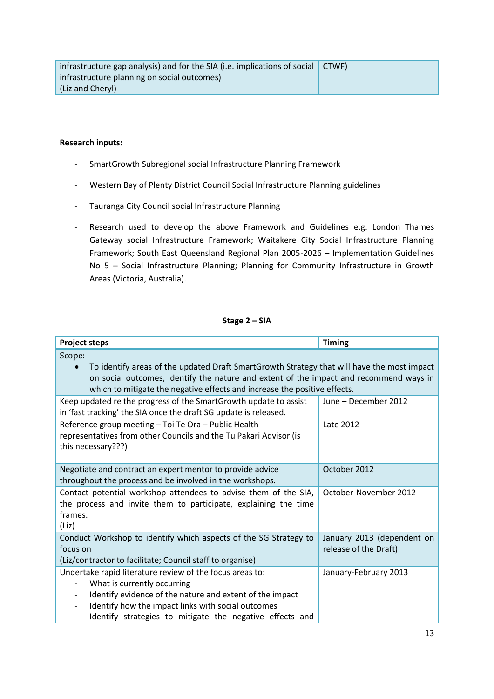#### **Research inputs:**

- SmartGrowth Subregional social Infrastructure Planning Framework
- Western Bay of Plenty District Council Social Infrastructure Planning guidelines
- Tauranga City Council social Infrastructure Planning
- Research used to develop the above Framework and Guidelines e.g. London Thames Gateway social Infrastructure Framework; Waitakere City Social Infrastructure Planning Framework; South East Queensland Regional Plan 2005-2026 – Implementation Guidelines No 5 – Social Infrastructure Planning; Planning for Community Infrastructure in Growth Areas (Victoria, Australia).

#### **Stage 2 – SIA**

| <b>Project steps</b>                                                                                                                                                                                                                                                                                                                                      | <b>Timing</b>                                       |  |  |  |
|-----------------------------------------------------------------------------------------------------------------------------------------------------------------------------------------------------------------------------------------------------------------------------------------------------------------------------------------------------------|-----------------------------------------------------|--|--|--|
| Scope:<br>To identify areas of the updated Draft SmartGrowth Strategy that will have the most impact<br>on social outcomes, identify the nature and extent of the impact and recommend ways in<br>which to mitigate the negative effects and increase the positive effects.                                                                               |                                                     |  |  |  |
| Keep updated re the progress of the SmartGrowth update to assist<br>in 'fast tracking' the SIA once the draft SG update is released.                                                                                                                                                                                                                      | June - December 2012                                |  |  |  |
| Reference group meeting - Toi Te Ora - Public Health<br>representatives from other Councils and the Tu Pakari Advisor (is<br>this necessary???)                                                                                                                                                                                                           | Late 2012                                           |  |  |  |
| Negotiate and contract an expert mentor to provide advice<br>throughout the process and be involved in the workshops.                                                                                                                                                                                                                                     | October 2012                                        |  |  |  |
| Contact potential workshop attendees to advise them of the SIA,<br>the process and invite them to participate, explaining the time<br>frames.<br>(Liz)                                                                                                                                                                                                    | October-November 2012                               |  |  |  |
| Conduct Workshop to identify which aspects of the SG Strategy to<br>focus on<br>(Liz/contractor to facilitate; Council staff to organise)                                                                                                                                                                                                                 | January 2013 (dependent on<br>release of the Draft) |  |  |  |
| Undertake rapid literature review of the focus areas to:<br>What is currently occurring<br>Identify evidence of the nature and extent of the impact<br>$\overline{\phantom{a}}$<br>Identify how the impact links with social outcomes<br>$\overline{\phantom{a}}$<br>Identify strategies to mitigate the negative effects and<br>$\overline{\phantom{a}}$ | January-February 2013                               |  |  |  |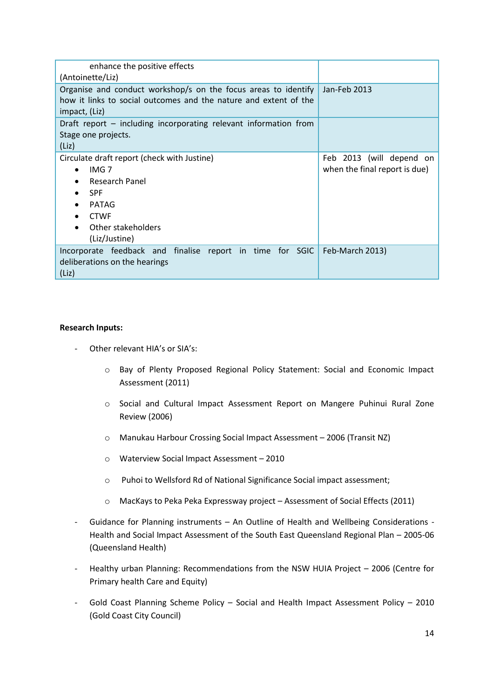| enhance the positive effects<br>(Antoinette/Liz)                                                                                                                                                |                                                           |
|-------------------------------------------------------------------------------------------------------------------------------------------------------------------------------------------------|-----------------------------------------------------------|
| Organise and conduct workshop/s on the focus areas to identify<br>how it links to social outcomes and the nature and extent of the<br>impact, (Liz)                                             | Jan-Feb 2013                                              |
| Draft report – including incorporating relevant information from<br>Stage one projects.<br>(Liz)                                                                                                |                                                           |
| Circulate draft report (check with Justine)<br>IMG <sub>7</sub><br>$\bullet$<br>Research Panel<br><b>SPF</b><br><b>PATAG</b><br><b>CTWF</b><br>Other stakeholders<br>$\bullet$<br>(Liz/Justine) | Feb 2013 (will depend on<br>when the final report is due) |
| Incorporate feedback and finalise report in time for SGIC   Feb-March 2013)<br>deliberations on the hearings<br>(Liz)                                                                           |                                                           |

#### **Research Inputs:**

- Other relevant HIA's or SIA's:
	- o Bay of Plenty Proposed Regional Policy Statement: Social and Economic Impact Assessment (2011)
	- o Social and Cultural Impact Assessment Report on Mangere Puhinui Rural Zone Review (2006)
	- o Manukau Harbour Crossing Social Impact Assessment 2006 (Transit NZ)
	- o Waterview Social Impact Assessment 2010
	- o Puhoi to Wellsford Rd of National Significance Social impact assessment;
	- o MacKays to Peka Peka Expressway project Assessment of Social Effects (2011)
- Guidance for Planning instruments An Outline of Health and Wellbeing Considerations Health and Social Impact Assessment of the South East Queensland Regional Plan – 2005-06 (Queensland Health)
- Healthy urban Planning: Recommendations from the NSW HUIA Project 2006 (Centre for Primary health Care and Equity)
- Gold Coast Planning Scheme Policy Social and Health Impact Assessment Policy 2010 (Gold Coast City Council)